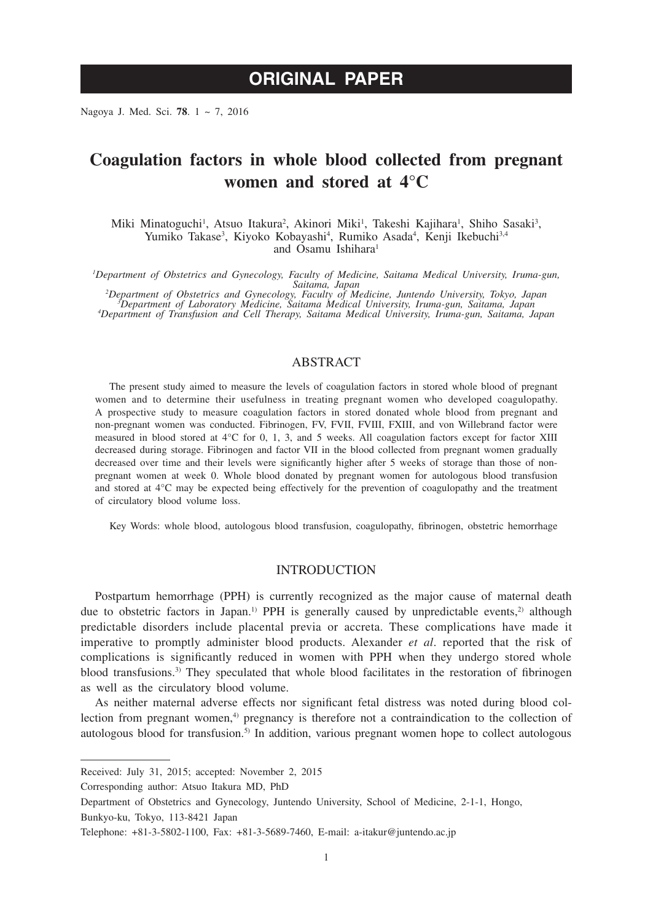# **ORIGINAL PAPER**

Nagoya J. Med. Sci. **78**. 1 ~ 7, 2016

## **Coagulation factors in whole blood collected from pregnant women and stored at 4°C**

Miki Minatoguchi<sup>1</sup>, Atsuo Itakura<sup>2</sup>, Akinori Miki<sup>1</sup>, Takeshi Kajihara<sup>1</sup>, Shiho Sasaki<sup>3</sup>, Yumiko Takase<sup>3</sup>, Kiyoko Kobayashi<sup>4</sup>, Rumiko Asada<sup>4</sup>, Kenji Ikebuchi<sup>3,4</sup> and Osamu Ishihara<sup>1</sup>

*1 Department of Obstetrics and Gynecology, Faculty of Medicine, Saitama Medical University, Iruma-gun,* 

Saitama, Japan<br>Pepartment of Obstetrics and Gynecology, Faculty of Medicine, Juntendo University, Tokyo, Japan<br>Department of Laboratory Medicine, Saitama Medical University, Iruma-gun, Saitama, Japan<br>Pepartment of Transfus *Department of Transfusion and Cell Therapy, Saitama Medical University, Iruma-gun, Saitama, Japan*

## ABSTRACT

The present study aimed to measure the levels of coagulation factors in stored whole blood of pregnant women and to determine their usefulness in treating pregnant women who developed coagulopathy. A prospective study to measure coagulation factors in stored donated whole blood from pregnant and non-pregnant women was conducted. Fibrinogen, FV, FVII, FVIII, FXIII, and von Willebrand factor were measured in blood stored at 4°C for 0, 1, 3, and 5 weeks. All coagulation factors except for factor XIII decreased during storage. Fibrinogen and factor VII in the blood collected from pregnant women gradually decreased over time and their levels were significantly higher after 5 weeks of storage than those of nonpregnant women at week 0. Whole blood donated by pregnant women for autologous blood transfusion and stored at 4°C may be expected being effectively for the prevention of coagulopathy and the treatment of circulatory blood volume loss.

Key Words: whole blood, autologous blood transfusion, coagulopathy, fibrinogen, obstetric hemorrhage

## INTRODUCTION

Postpartum hemorrhage (PPH) is currently recognized as the major cause of maternal death due to obstetric factors in Japan.<sup>1)</sup> PPH is generally caused by unpredictable events,<sup>2)</sup> although predictable disorders include placental previa or accreta. These complications have made it imperative to promptly administer blood products. Alexander *et al*. reported that the risk of complications is significantly reduced in women with PPH when they undergo stored whole blood transfusions.<sup>3)</sup> They speculated that whole blood facilitates in the restoration of fibrinogen as well as the circulatory blood volume.

As neither maternal adverse effects nor significant fetal distress was noted during blood collection from pregnant women,<sup>4)</sup> pregnancy is therefore not a contraindication to the collection of autologous blood for transfusion.5) In addition, various pregnant women hope to collect autologous

Corresponding author: Atsuo Itakura MD, PhD

Received: July 31, 2015; accepted: November 2, 2015

Department of Obstetrics and Gynecology, Juntendo University, School of Medicine, 2-1-1, Hongo,

Bunkyo-ku, Tokyo, 113-8421 Japan

Telephone: +81-3-5802-1100, Fax: +81-3-5689-7460, E-mail: a-itakur@juntendo.ac.jp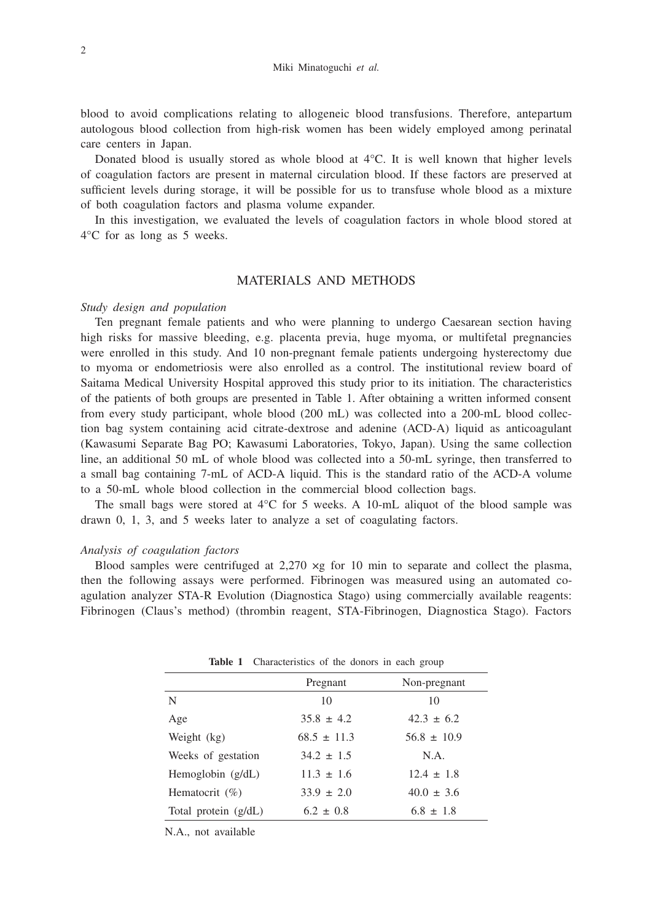blood to avoid complications relating to allogeneic blood transfusions. Therefore, antepartum autologous blood collection from high-risk women has been widely employed among perinatal care centers in Japan.

Donated blood is usually stored as whole blood at 4°C. It is well known that higher levels of coagulation factors are present in maternal circulation blood. If these factors are preserved at sufficient levels during storage, it will be possible for us to transfuse whole blood as a mixture of both coagulation factors and plasma volume expander.

In this investigation, we evaluated the levels of coagulation factors in whole blood stored at 4°C for as long as 5 weeks.

## MATERIALS AND METHODS

#### *Study design and population*

Ten pregnant female patients and who were planning to undergo Caesarean section having high risks for massive bleeding, e.g. placenta previa, huge myoma, or multifetal pregnancies were enrolled in this study. And 10 non-pregnant female patients undergoing hysterectomy due to myoma or endometriosis were also enrolled as a control. The institutional review board of Saitama Medical University Hospital approved this study prior to its initiation. The characteristics of the patients of both groups are presented in Table 1. After obtaining a written informed consent from every study participant, whole blood (200 mL) was collected into a 200-mL blood collection bag system containing acid citrate-dextrose and adenine (ACD-A) liquid as anticoagulant (Kawasumi Separate Bag PO; Kawasumi Laboratories, Tokyo, Japan). Using the same collection line, an additional 50 mL of whole blood was collected into a 50-mL syringe, then transferred to a small bag containing 7-mL of ACD-A liquid. This is the standard ratio of the ACD-A volume to a 50-mL whole blood collection in the commercial blood collection bags.

The small bags were stored at  $4^{\circ}$ C for 5 weeks. A 10-mL aliquot of the blood sample was drawn 0, 1, 3, and 5 weeks later to analyze a set of coagulating factors.

#### *Analysis of coagulation factors*

Blood samples were centrifuged at  $2.270 \times g$  for 10 min to separate and collect the plasma, then the following assays were performed. Fibrinogen was measured using an automated coagulation analyzer STA-R Evolution (Diagnostica Stago) using commercially available reagents: Fibrinogen (Claus's method) (thrombin reagent, STA-Fibrinogen, Diagnostica Stago). Factors

|                        | Pregnant        | Non-pregnant    |
|------------------------|-----------------|-----------------|
| N                      | 10              | 10              |
| Age                    | $35.8 \pm 4.2$  | $42.3 \pm 6.2$  |
| Weight (kg)            | $68.5 \pm 11.3$ | $56.8 \pm 10.9$ |
| Weeks of gestation     | $34.2 \pm 1.5$  | N.A.            |
| Hemoglobin $(g/dL)$    | $11.3 \pm 1.6$  | $12.4 \pm 1.8$  |
| Hematocrit $(\%)$      | $33.9 \pm 2.0$  | $40.0 \pm 3.6$  |
| Total protein $(g/dL)$ | $6.2 \pm 0.8$   | $6.8 \pm 1.8$   |
|                        |                 |                 |

Table 1 Characteristics of the donors in each group

N.A., not available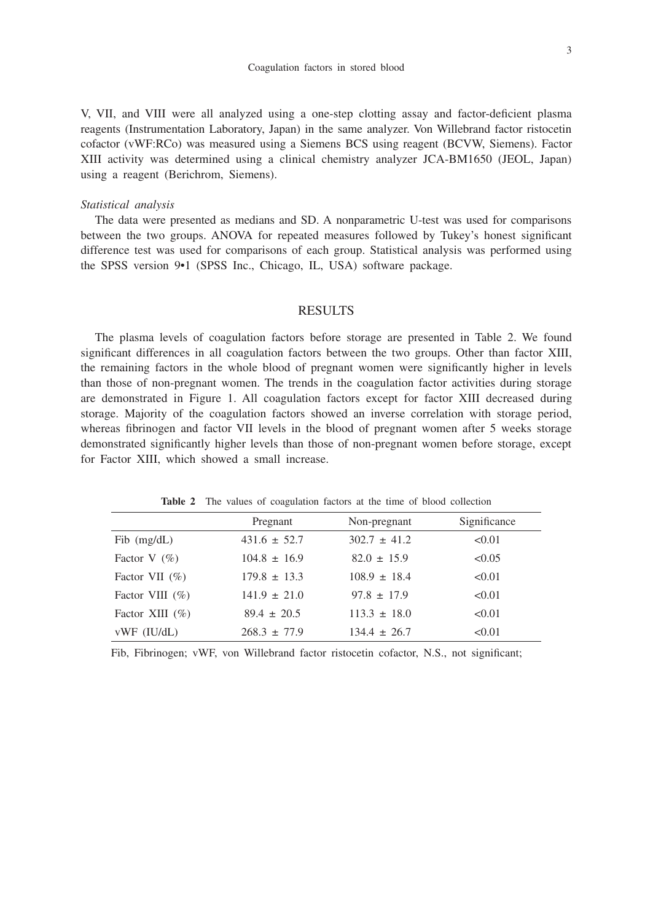V, VII, and VIII were all analyzed using a one-step clotting assay and factor-deficient plasma reagents (Instrumentation Laboratory, Japan) in the same analyzer. Von Willebrand factor ristocetin cofactor (vWF:RCo) was measured using a Siemens BCS using reagent (BCVW, Siemens). Factor XIII activity was determined using a clinical chemistry analyzer JCA-BM1650 (JEOL, Japan) using a reagent (Berichrom, Siemens).

#### *Statistical analysis*

The data were presented as medians and SD. A nonparametric U-test was used for comparisons between the two groups. ANOVA for repeated measures followed by Tukey's honest significant difference test was used for comparisons of each group. Statistical analysis was performed using the SPSS version 9•1 (SPSS Inc., Chicago, IL, USA) software package.

#### RESULTS

The plasma levels of coagulation factors before storage are presented in Table 2. We found significant differences in all coagulation factors between the two groups. Other than factor XIII, the remaining factors in the whole blood of pregnant women were significantly higher in levels than those of non-pregnant women. The trends in the coagulation factor activities during storage are demonstrated in Figure 1. All coagulation factors except for factor XIII decreased during storage. Majority of the coagulation factors showed an inverse correlation with storage period, whereas fibrinogen and factor VII levels in the blood of pregnant women after 5 weeks storage demonstrated significantly higher levels than those of non-pregnant women before storage, except for Factor XIII, which showed a small increase.

|                     | Pregnant         | Non-pregnant     | Significance |
|---------------------|------------------|------------------|--------------|
| $Fib$ (mg/dL)       | $431.6 \pm 52.7$ | $302.7 \pm 41.2$ | < 0.01       |
| Factor V $(\%)$     | $104.8 \pm 16.9$ | $82.0 \pm 15.9$  | < 0.05       |
| Factor VII $(\% )$  | $179.8 \pm 13.3$ | $108.9 \pm 18.4$ | < 0.01       |
| Factor VIII $(\% )$ | $141.9 \pm 21.0$ | $97.8 \pm 17.9$  | < 0.01       |
| Factor XIII $(\% )$ | $89.4 \pm 20.5$  | $113.3 \pm 18.0$ | < 0.01       |
| $vWF$ (IU/dL)       | $268.3 \pm 77.9$ | $134.4 \pm 26.7$ | < 0.01       |

Table 2 The values of coagulation factors at the time of blood collection

Fib, Fibrinogen; vWF, von Willebrand factor ristocetin cofactor, N.S., not significant;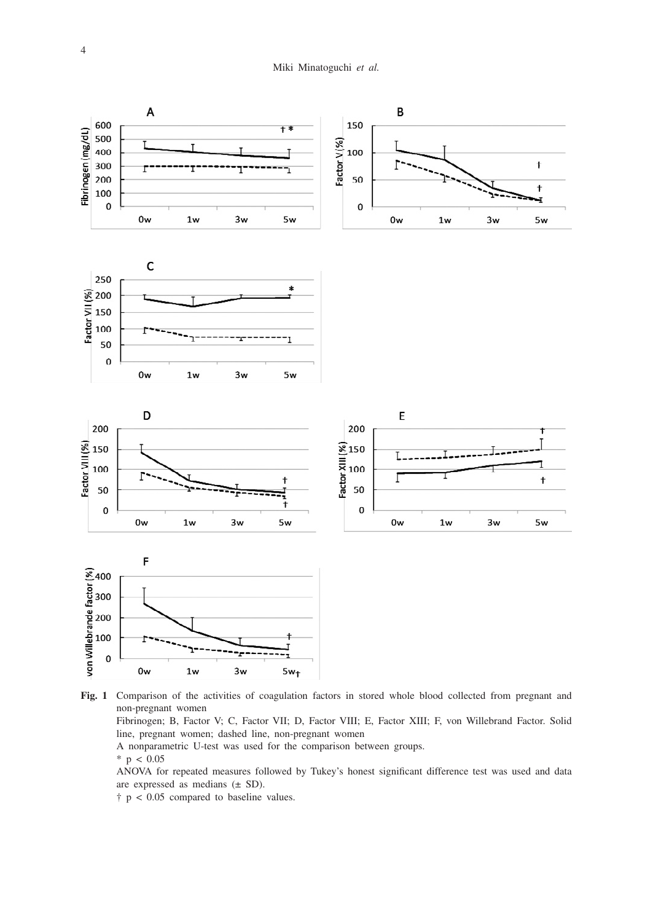

**Fig. 1** Comparison of the activities of coagulation factors in stored whole blood collected from pregnant and non-pregnant women

 Fibrinogen; B, Factor V; C, Factor VII; D, Factor VIII; E, Factor XIII; F, von Willebrand Factor. Solid line, pregnant women; dashed line, non-pregnant women

A nonparametric U-test was used for the comparison between groups.

 $*$  p < 0.05

 ANOVA for repeated measures followed by Tukey's honest significant difference test was used and data are expressed as medians  $(\pm SD)$ .

† p < 0.05 compared to baseline values.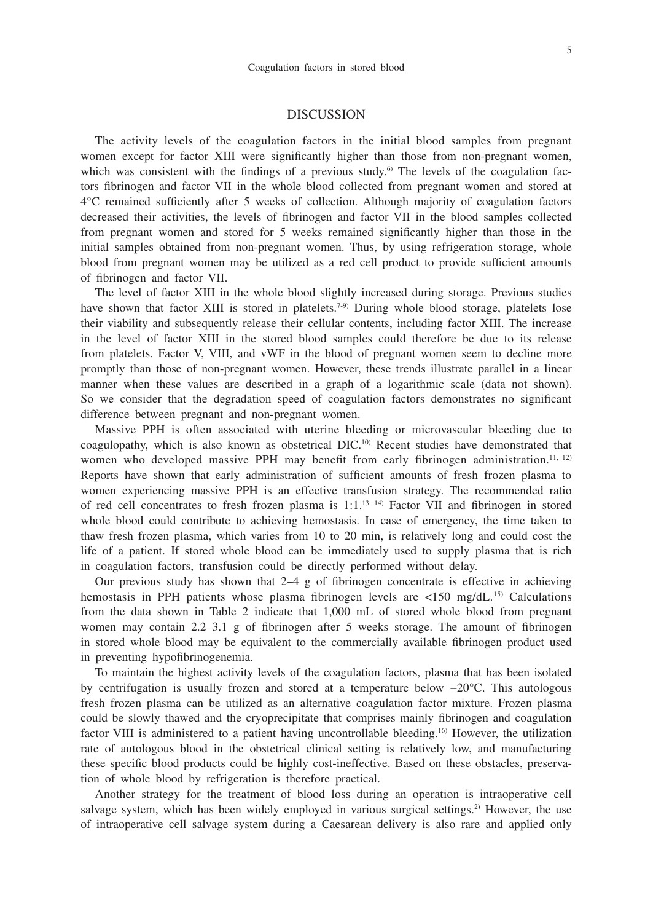## DISCUSSION

The activity levels of the coagulation factors in the initial blood samples from pregnant women except for factor XIII were significantly higher than those from non-pregnant women, which was consistent with the findings of a previous study.<sup>6)</sup> The levels of the coagulation factors fibrinogen and factor VII in the whole blood collected from pregnant women and stored at 4°C remained sufficiently after 5 weeks of collection. Although majority of coagulation factors decreased their activities, the levels of fibrinogen and factor VII in the blood samples collected from pregnant women and stored for 5 weeks remained significantly higher than those in the initial samples obtained from non-pregnant women. Thus, by using refrigeration storage, whole blood from pregnant women may be utilized as a red cell product to provide sufficient amounts of fibrinogen and factor VII.

The level of factor XIII in the whole blood slightly increased during storage. Previous studies have shown that factor XIII is stored in platelets.<sup>7-9)</sup> During whole blood storage, platelets lose their viability and subsequently release their cellular contents, including factor XIII. The increase in the level of factor XIII in the stored blood samples could therefore be due to its release from platelets. Factor V, VIII, and vWF in the blood of pregnant women seem to decline more promptly than those of non-pregnant women. However, these trends illustrate parallel in a linear manner when these values are described in a graph of a logarithmic scale (data not shown). So we consider that the degradation speed of coagulation factors demonstrates no significant difference between pregnant and non-pregnant women.

Massive PPH is often associated with uterine bleeding or microvascular bleeding due to coagulopathy, which is also known as obstetrical DIC.10) Recent studies have demonstrated that women who developed massive PPH may benefit from early fibrinogen administration.<sup>11, 12)</sup> Reports have shown that early administration of sufficient amounts of fresh frozen plasma to women experiencing massive PPH is an effective transfusion strategy. The recommended ratio of red cell concentrates to fresh frozen plasma is  $1:1$ ,<sup>13, 14)</sup> Factor VII and fibrinogen in stored whole blood could contribute to achieving hemostasis. In case of emergency, the time taken to thaw fresh frozen plasma, which varies from 10 to 20 min, is relatively long and could cost the life of a patient. If stored whole blood can be immediately used to supply plasma that is rich in coagulation factors, transfusion could be directly performed without delay.

Our previous study has shown that 2–4 g of fibrinogen concentrate is effective in achieving hemostasis in PPH patients whose plasma fibrinogen levels are  $\langle 150 \text{ mg/dL}^{15} \rangle$  Calculations from the data shown in Table 2 indicate that 1,000 mL of stored whole blood from pregnant women may contain 2.2–3.1 g of fibrinogen after 5 weeks storage. The amount of fibrinogen in stored whole blood may be equivalent to the commercially available fibrinogen product used in preventing hypofibrinogenemia.

To maintain the highest activity levels of the coagulation factors, plasma that has been isolated by centrifugation is usually frozen and stored at a temperature below −20°C. This autologous fresh frozen plasma can be utilized as an alternative coagulation factor mixture. Frozen plasma could be slowly thawed and the cryoprecipitate that comprises mainly fibrinogen and coagulation factor VIII is administered to a patient having uncontrollable bleeding.<sup>16</sup> However, the utilization rate of autologous blood in the obstetrical clinical setting is relatively low, and manufacturing these specific blood products could be highly cost-ineffective. Based on these obstacles, preservation of whole blood by refrigeration is therefore practical.

Another strategy for the treatment of blood loss during an operation is intraoperative cell salvage system, which has been widely employed in various surgical settings.<sup>2)</sup> However, the use of intraoperative cell salvage system during a Caesarean delivery is also rare and applied only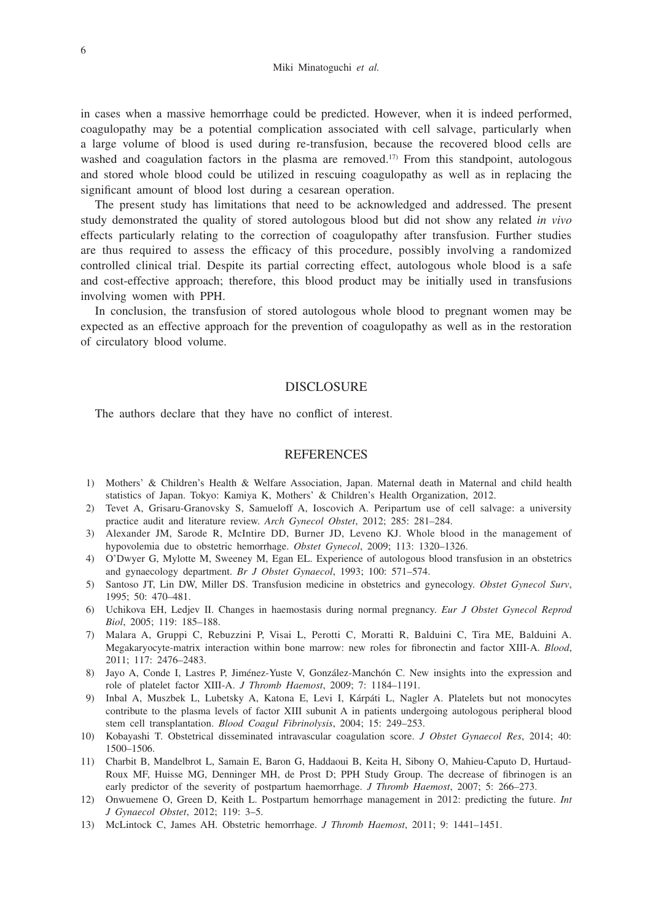in cases when a massive hemorrhage could be predicted. However, when it is indeed performed, coagulopathy may be a potential complication associated with cell salvage, particularly when a large volume of blood is used during re-transfusion, because the recovered blood cells are washed and coagulation factors in the plasma are removed.<sup>17)</sup> From this standpoint, autologous and stored whole blood could be utilized in rescuing coagulopathy as well as in replacing the significant amount of blood lost during a cesarean operation.

The present study has limitations that need to be acknowledged and addressed. The present study demonstrated the quality of stored autologous blood but did not show any related *in vivo* effects particularly relating to the correction of coagulopathy after transfusion. Further studies are thus required to assess the efficacy of this procedure, possibly involving a randomized controlled clinical trial. Despite its partial correcting effect, autologous whole blood is a safe and cost-effective approach; therefore, this blood product may be initially used in transfusions involving women with PPH.

In conclusion, the transfusion of stored autologous whole blood to pregnant women may be expected as an effective approach for the prevention of coagulopathy as well as in the restoration of circulatory blood volume.

### DISCLOSURE

The authors declare that they have no conflict of interest.

#### **REFERENCES**

- 1) Mothers' & Children's Health & Welfare Association, Japan. Maternal death in Maternal and child health statistics of Japan. Tokyo: Kamiya K, Mothers' & Children's Health Organization, 2012.
- 2) Tevet A, Grisaru-Granovsky S, Samueloff A, Ioscovich A. Peripartum use of cell salvage: a university practice audit and literature review. *Arch Gynecol Obstet*, 2012; 285: 281–284.
- 3) Alexander JM, Sarode R, McIntire DD, Burner JD, Leveno KJ. Whole blood in the management of hypovolemia due to obstetric hemorrhage. *Obstet Gynecol*, 2009; 113: 1320–1326.
- 4) O'Dwyer G, Mylotte M, Sweeney M, Egan EL. Experience of autologous blood transfusion in an obstetrics and gynaecology department. *Br J Obstet Gynaecol*, 1993; 100: 571–574.
- 5) Santoso JT, Lin DW, Miller DS. Transfusion medicine in obstetrics and gynecology. *Obstet Gynecol Surv*, 1995; 50: 470–481.
- 6) Uchikova EH, Ledjev II. Changes in haemostasis during normal pregnancy. *Eur J Obstet Gynecol Reprod Biol*, 2005; 119: 185–188.
- 7) Malara A, Gruppi C, Rebuzzini P, Visai L, Perotti C, Moratti R, Balduini C, Tira ME, Balduini A. Megakaryocyte-matrix interaction within bone marrow: new roles for fibronectin and factor XIII-A. *Blood*, 2011; 117: 2476–2483.
- 8) Jayo A, Conde I, Lastres P, Jiménez-Yuste V, González-Manchón C. New insights into the expression and role of platelet factor XIII-A. *J Thromb Haemost*, 2009; 7: 1184–1191.
- 9) Inbal A, Muszbek L, Lubetsky A, Katona E, Levi I, Kárpáti L, Nagler A. Platelets but not monocytes contribute to the plasma levels of factor XIII subunit A in patients undergoing autologous peripheral blood stem cell transplantation. *Blood Coagul Fibrinolysis*, 2004; 15: 249–253.
- 10) Kobayashi T. Obstetrical disseminated intravascular coagulation score. *J Obstet Gynaecol Res*, 2014; 40: 1500–1506.
- 11) Charbit B, Mandelbrot L, Samain E, Baron G, Haddaoui B, Keita H, Sibony O, Mahieu-Caputo D, Hurtaud-Roux MF, Huisse MG, Denninger MH, de Prost D; PPH Study Group. The decrease of fibrinogen is an early predictor of the severity of postpartum haemorrhage. *J Thromb Haemost*, 2007; 5: 266–273.
- 12) Onwuemene O, Green D, Keith L. Postpartum hemorrhage management in 2012: predicting the future. *Int J Gynaecol Obstet*, 2012; 119: 3–5.
- 13) McLintock C, James AH. Obstetric hemorrhage. *J Thromb Haemost*, 2011; 9: 1441–1451.